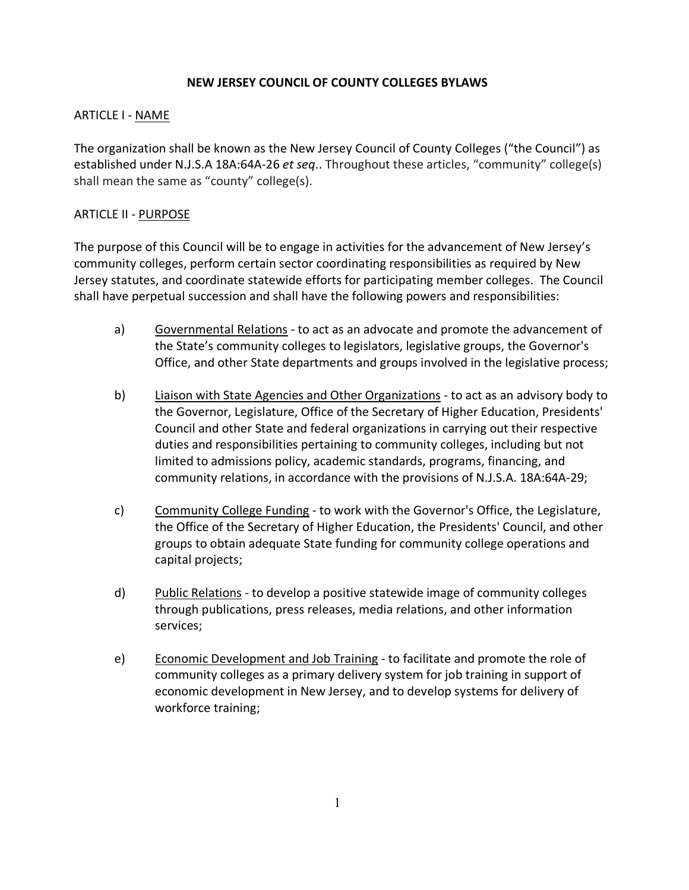## **NEW JERSEY COUNCIL OF COUNTY COLLEGES BYLAWS**

## ARTICLE I - NAME

The organization shall be known as the New Jersey Council of County Colleges ("the Council") as established under N.J.S.A 18A:64A-26 *et seq*.. Throughout these articles, "community" college(s) shall mean the same as "county" college(s).

#### ARTICLE II - PURPOSE

The purpose of this Council will be to engage in activities for the advancement of New Jersey's community colleges, perform certain sector coordinating responsibilities as required by New Jersey statutes, and coordinate statewide efforts for participating member colleges. The Council shall have perpetual succession and shall have the following powers and responsibilities:

- a) Governmental Relations to act as an advocate and promote the advancement of the State's community colleges to legislators, legislative groups, the Governor's Office, and other State departments and groups involved in the legislative process;
- b) Liaison with State Agencies and Other Organizations to act as an advisory body to the Governor, Legislature, Office of the Secretary of Higher Education, Presidents' Council and other State and federal organizations in carrying out their respective duties and responsibilities pertaining to community colleges, including but not limited to admissions policy, academic standards, programs, financing, and community relations, in accordance with the provisions of N.J.S.A. 18A:64A-29;
- c) Community College Funding to work with the Governor's Office, the Legislature, the Office of the Secretary of Higher Education, the Presidents' Council, and other groups to obtain adequate State funding for community college operations and capital projects;
- d) Public Relations to develop a positive statewide image of community colleges through publications, press releases, media relations, and other information services;
- e) Economic Development and Job Training to facilitate and promote the role of community colleges as a primary delivery system for job training in support of economic development in New Jersey, and to develop systems for delivery of workforce training;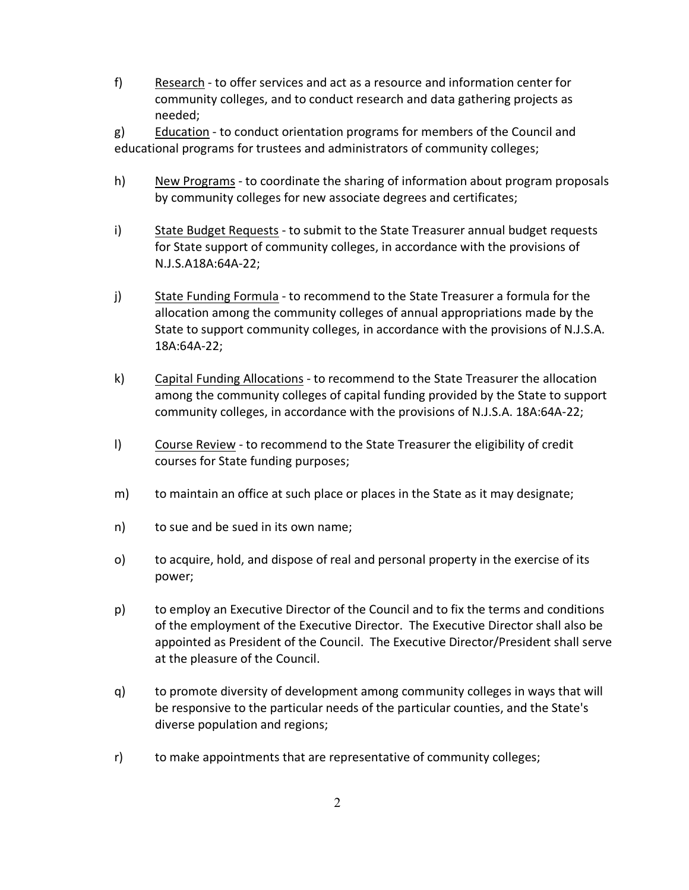f) Research - to offer services and act as a resource and information center for community colleges, and to conduct research and data gathering projects as needed;

g) Education - to conduct orientation programs for members of the Council and educational programs for trustees and administrators of community colleges;

- h) New Programs to coordinate the sharing of information about program proposals by community colleges for new associate degrees and certificates;
- i) State Budget Requests to submit to the State Treasurer annual budget requests for State support of community colleges, in accordance with the provisions of N.J.S.A18A:64A-22;
- j) State Funding Formula to recommend to the State Treasurer a formula for the allocation among the community colleges of annual appropriations made by the State to support community colleges, in accordance with the provisions of N.J.S.A. 18A:64A-22;
- k) Capital Funding Allocations to recommend to the State Treasurer the allocation among the community colleges of capital funding provided by the State to support community colleges, in accordance with the provisions of N.J.S.A. 18A:64A-22;
- l) Course Review to recommend to the State Treasurer the eligibility of credit courses for State funding purposes;
- m) to maintain an office at such place or places in the State as it may designate;
- n) to sue and be sued in its own name;
- o) to acquire, hold, and dispose of real and personal property in the exercise of its power;
- p) to employ an Executive Director of the Council and to fix the terms and conditions of the employment of the Executive Director. The Executive Director shall also be appointed as President of the Council. The Executive Director/President shall serve at the pleasure of the Council.
- q) to promote diversity of development among community colleges in ways that will be responsive to the particular needs of the particular counties, and the State's diverse population and regions;
- r) to make appointments that are representative of community colleges;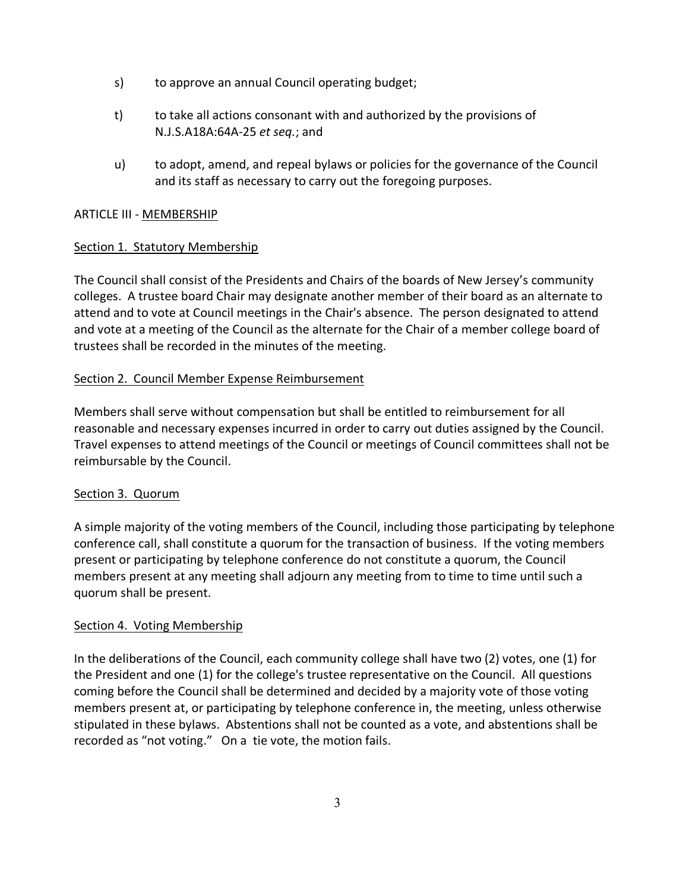- s) to approve an annual Council operating budget;
- t) to take all actions consonant with and authorized by the provisions of N.J.S.A18A:64A-25 *et seq.*; and
- u) to adopt, amend, and repeal bylaws or policies for the governance of the Council and its staff as necessary to carry out the foregoing purposes.

#### ARTICLE III - MEMBERSHIP

#### Section 1. Statutory Membership

The Council shall consist of the Presidents and Chairs of the boards of New Jersey's community colleges. A trustee board Chair may designate another member of their board as an alternate to attend and to vote at Council meetings in the Chair's absence. The person designated to attend and vote at a meeting of the Council as the alternate for the Chair of a member college board of trustees shall be recorded in the minutes of the meeting.

## Section 2. Council Member Expense Reimbursement

Members shall serve without compensation but shall be entitled to reimbursement for all reasonable and necessary expenses incurred in order to carry out duties assigned by the Council. Travel expenses to attend meetings of the Council or meetings of Council committees shall not be reimbursable by the Council.

#### Section 3. Quorum

A simple majority of the voting members of the Council, including those participating by telephone conference call, shall constitute a quorum for the transaction of business. If the voting members present or participating by telephone conference do not constitute a quorum, the Council members present at any meeting shall adjourn any meeting from to time to time until such a quorum shall be present.

## Section 4. Voting Membership

In the deliberations of the Council, each community college shall have two (2) votes, one (1) for the President and one (1) for the college's trustee representative on the Council. All questions coming before the Council shall be determined and decided by a majority vote of those voting members present at, or participating by telephone conference in, the meeting, unless otherwise stipulated in these bylaws. Abstentions shall not be counted as a vote, and abstentions shall be recorded as "not voting." On a tie vote, the motion fails.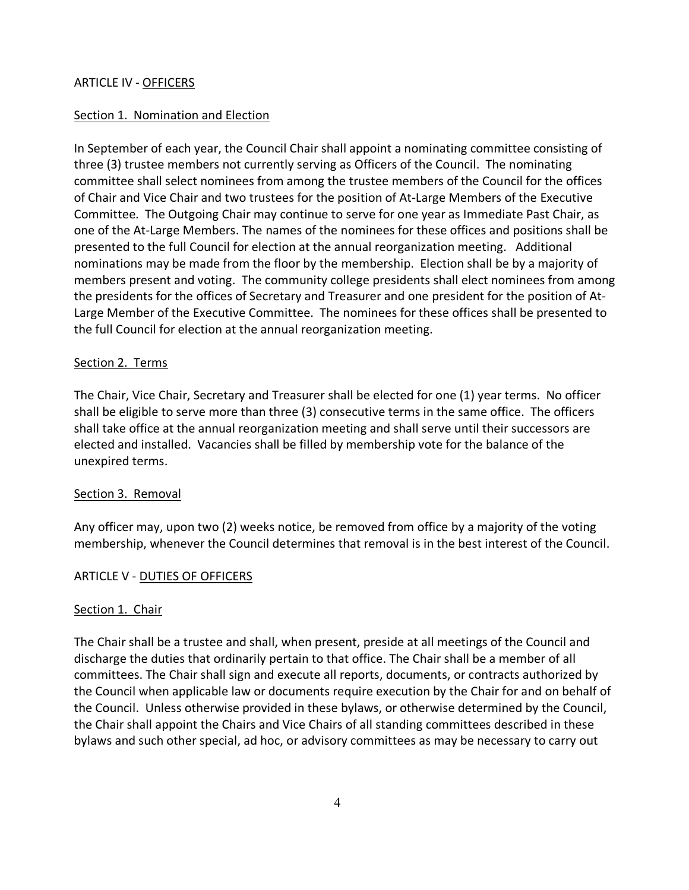#### ARTICLE IV - OFFICERS

#### Section 1. Nomination and Election

In September of each year, the Council Chair shall appoint a nominating committee consisting of three (3) trustee members not currently serving as Officers of the Council. The nominating committee shall select nominees from among the trustee members of the Council for the offices of Chair and Vice Chair and two trustees for the position of At-Large Members of the Executive Committee. The Outgoing Chair may continue to serve for one year as Immediate Past Chair, as one of the At-Large Members. The names of the nominees for these offices and positions shall be presented to the full Council for election at the annual reorganization meeting. Additional nominations may be made from the floor by the membership. Election shall be by a majority of members present and voting. The community college presidents shall elect nominees from among the presidents for the offices of Secretary and Treasurer and one president for the position of At-Large Member of the Executive Committee. The nominees for these offices shall be presented to the full Council for election at the annual reorganization meeting.

#### Section 2. Terms

The Chair, Vice Chair, Secretary and Treasurer shall be elected for one (1) year terms. No officer shall be eligible to serve more than three (3) consecutive terms in the same office. The officers shall take office at the annual reorganization meeting and shall serve until their successors are elected and installed. Vacancies shall be filled by membership vote for the balance of the unexpired terms.

#### Section 3. Removal

Any officer may, upon two (2) weeks notice, be removed from office by a majority of the voting membership, whenever the Council determines that removal is in the best interest of the Council.

#### ARTICLE V - DUTIES OF OFFICERS

## Section 1. Chair

The Chair shall be a trustee and shall, when present, preside at all meetings of the Council and discharge the duties that ordinarily pertain to that office. The Chair shall be a member of all committees. The Chair shall sign and execute all reports, documents, or contracts authorized by the Council when applicable law or documents require execution by the Chair for and on behalf of the Council. Unless otherwise provided in these bylaws, or otherwise determined by the Council, the Chair shall appoint the Chairs and Vice Chairs of all standing committees described in these bylaws and such other special, ad hoc, or advisory committees as may be necessary to carry out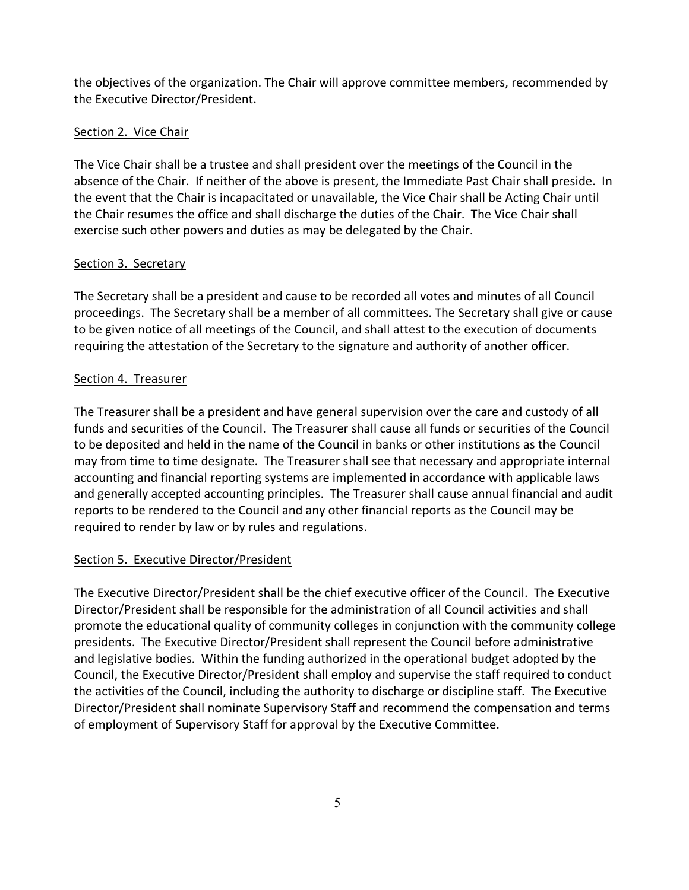the objectives of the organization. The Chair will approve committee members, recommended by the Executive Director/President.

# Section 2. Vice Chair

The Vice Chair shall be a trustee and shall president over the meetings of the Council in the absence of the Chair. If neither of the above is present, the Immediate Past Chair shall preside. In the event that the Chair is incapacitated or unavailable, the Vice Chair shall be Acting Chair until the Chair resumes the office and shall discharge the duties of the Chair. The Vice Chair shall exercise such other powers and duties as may be delegated by the Chair.

# Section 3. Secretary

The Secretary shall be a president and cause to be recorded all votes and minutes of all Council proceedings. The Secretary shall be a member of all committees. The Secretary shall give or cause to be given notice of all meetings of the Council, and shall attest to the execution of documents requiring the attestation of the Secretary to the signature and authority of another officer.

# Section 4. Treasurer

The Treasurer shall be a president and have general supervision over the care and custody of all funds and securities of the Council. The Treasurer shall cause all funds or securities of the Council to be deposited and held in the name of the Council in banks or other institutions as the Council may from time to time designate. The Treasurer shall see that necessary and appropriate internal accounting and financial reporting systems are implemented in accordance with applicable laws and generally accepted accounting principles. The Treasurer shall cause annual financial and audit reports to be rendered to the Council and any other financial reports as the Council may be required to render by law or by rules and regulations.

# Section 5. Executive Director/President

The Executive Director/President shall be the chief executive officer of the Council. The Executive Director/President shall be responsible for the administration of all Council activities and shall promote the educational quality of community colleges in conjunction with the community college presidents. The Executive Director/President shall represent the Council before administrative and legislative bodies. Within the funding authorized in the operational budget adopted by the Council, the Executive Director/President shall employ and supervise the staff required to conduct the activities of the Council, including the authority to discharge or discipline staff. The Executive Director/President shall nominate Supervisory Staff and recommend the compensation and terms of employment of Supervisory Staff for approval by the Executive Committee.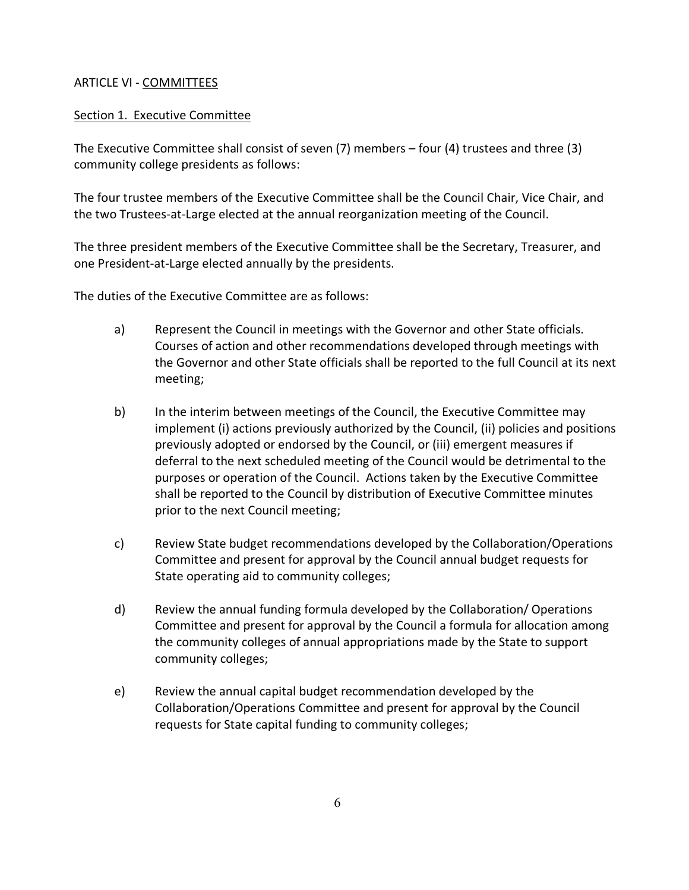# ARTICLE VI - COMMITTEES

# Section 1. Executive Committee

The Executive Committee shall consist of seven (7) members – four (4) trustees and three (3) community college presidents as follows:

The four trustee members of the Executive Committee shall be the Council Chair, Vice Chair, and the two Trustees-at-Large elected at the annual reorganization meeting of the Council.

The three president members of the Executive Committee shall be the Secretary, Treasurer, and one President-at-Large elected annually by the presidents.

The duties of the Executive Committee are as follows:

- a) Represent the Council in meetings with the Governor and other State officials. Courses of action and other recommendations developed through meetings with the Governor and other State officials shall be reported to the full Council at its next meeting;
- b) In the interim between meetings of the Council, the Executive Committee may implement (i) actions previously authorized by the Council, (ii) policies and positions previously adopted or endorsed by the Council, or (iii) emergent measures if deferral to the next scheduled meeting of the Council would be detrimental to the purposes or operation of the Council. Actions taken by the Executive Committee shall be reported to the Council by distribution of Executive Committee minutes prior to the next Council meeting;
- c) Review State budget recommendations developed by the Collaboration/Operations Committee and present for approval by the Council annual budget requests for State operating aid to community colleges;
- d) Review the annual funding formula developed by the Collaboration/ Operations Committee and present for approval by the Council a formula for allocation among the community colleges of annual appropriations made by the State to support community colleges;
- e) Review the annual capital budget recommendation developed by the Collaboration/Operations Committee and present for approval by the Council requests for State capital funding to community colleges;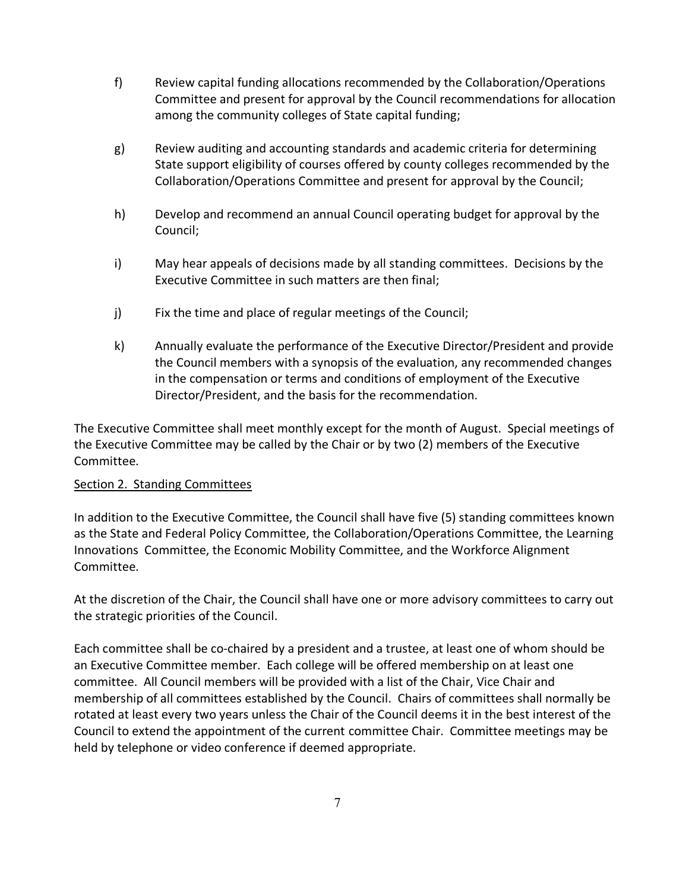- f) Review capital funding allocations recommended by the Collaboration/Operations Committee and present for approval by the Council recommendations for allocation among the community colleges of State capital funding;
- g) Review auditing and accounting standards and academic criteria for determining State support eligibility of courses offered by county colleges recommended by the Collaboration/Operations Committee and present for approval by the Council;
- h) Develop and recommend an annual Council operating budget for approval by the Council;
- i) May hear appeals of decisions made by all standing committees. Decisions by the Executive Committee in such matters are then final;
- j) Fix the time and place of regular meetings of the Council;
- k) Annually evaluate the performance of the Executive Director/President and provide the Council members with a synopsis of the evaluation, any recommended changes in the compensation or terms and conditions of employment of the Executive Director/President, and the basis for the recommendation.

The Executive Committee shall meet monthly except for the month of August. Special meetings of the Executive Committee may be called by the Chair or by two (2) members of the Executive Committee.

## Section 2. Standing Committees

In addition to the Executive Committee, the Council shall have five (5) standing committees known as the State and Federal Policy Committee, the Collaboration/Operations Committee, the Learning Innovations Committee, the Economic Mobility Committee, and the Workforce Alignment Committee.

At the discretion of the Chair, the Council shall have one or more advisory committees to carry out the strategic priorities of the Council.

Each committee shall be co-chaired by a president and a trustee, at least one of whom should be an Executive Committee member. Each college will be offered membership on at least one committee. All Council members will be provided with a list of the Chair, Vice Chair and membership of all committees established by the Council. Chairs of committees shall normally be rotated at least every two years unless the Chair of the Council deems it in the best interest of the Council to extend the appointment of the current committee Chair. Committee meetings may be held by telephone or video conference if deemed appropriate.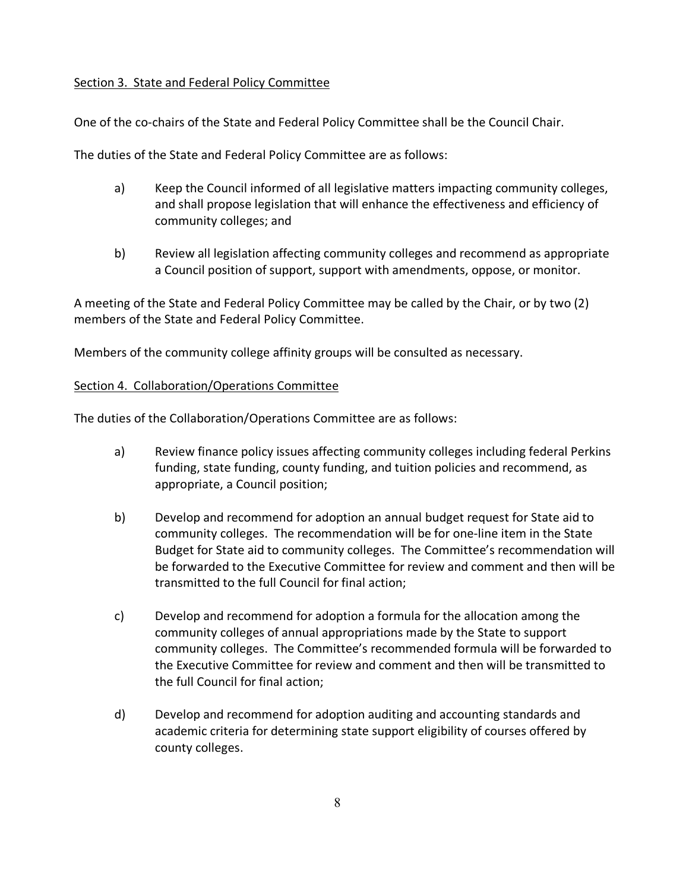## Section 3. State and Federal Policy Committee

One of the co-chairs of the State and Federal Policy Committee shall be the Council Chair.

The duties of the State and Federal Policy Committee are as follows:

- a) Keep the Council informed of all legislative matters impacting community colleges, and shall propose legislation that will enhance the effectiveness and efficiency of community colleges; and
- b) Review all legislation affecting community colleges and recommend as appropriate a Council position of support, support with amendments, oppose, or monitor.

A meeting of the State and Federal Policy Committee may be called by the Chair, or by two (2) members of the State and Federal Policy Committee.

Members of the community college affinity groups will be consulted as necessary.

#### Section 4. Collaboration/Operations Committee

The duties of the Collaboration/Operations Committee are as follows:

- a) Review finance policy issues affecting community colleges including federal Perkins funding, state funding, county funding, and tuition policies and recommend, as appropriate, a Council position;
- b) Develop and recommend for adoption an annual budget request for State aid to community colleges. The recommendation will be for one-line item in the State Budget for State aid to community colleges. The Committee's recommendation will be forwarded to the Executive Committee for review and comment and then will be transmitted to the full Council for final action;
- c) Develop and recommend for adoption a formula for the allocation among the community colleges of annual appropriations made by the State to support community colleges. The Committee's recommended formula will be forwarded to the Executive Committee for review and comment and then will be transmitted to the full Council for final action;
- d) Develop and recommend for adoption auditing and accounting standards and academic criteria for determining state support eligibility of courses offered by county colleges.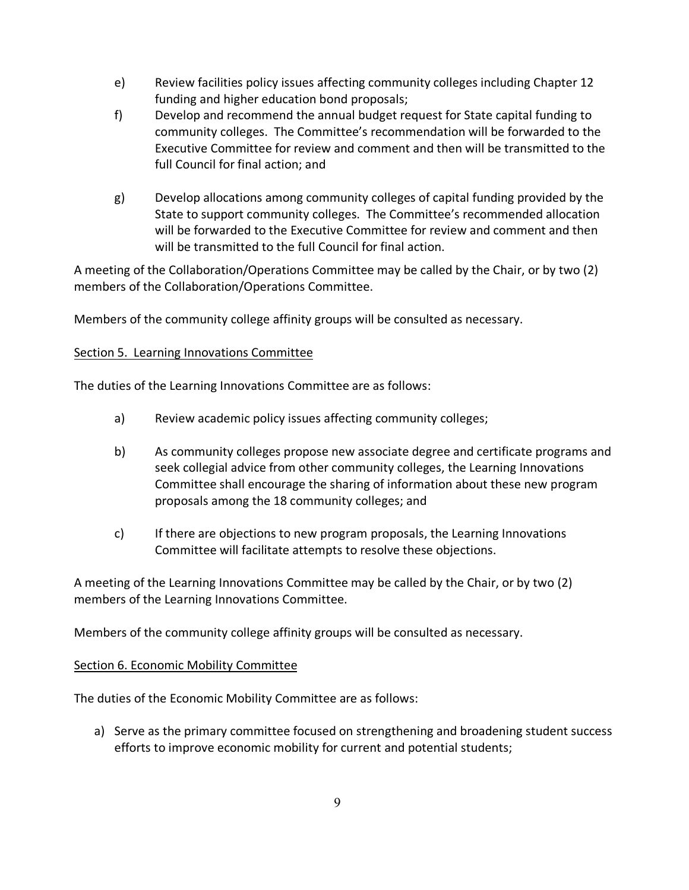- e) Review facilities policy issues affecting community colleges including Chapter 12 funding and higher education bond proposals;
- f) Develop and recommend the annual budget request for State capital funding to community colleges. The Committee's recommendation will be forwarded to the Executive Committee for review and comment and then will be transmitted to the full Council for final action; and
- g) Develop allocations among community colleges of capital funding provided by the State to support community colleges. The Committee's recommended allocation will be forwarded to the Executive Committee for review and comment and then will be transmitted to the full Council for final action.

A meeting of the Collaboration/Operations Committee may be called by the Chair, or by two (2) members of the Collaboration/Operations Committee.

Members of the community college affinity groups will be consulted as necessary.

# Section 5. Learning Innovations Committee

The duties of the Learning Innovations Committee are as follows:

- a) Review academic policy issues affecting community colleges;
- b) As community colleges propose new associate degree and certificate programs and seek collegial advice from other community colleges, the Learning Innovations Committee shall encourage the sharing of information about these new program proposals among the 18 community colleges; and
- c) If there are objections to new program proposals, the Learning Innovations Committee will facilitate attempts to resolve these objections.

A meeting of the Learning Innovations Committee may be called by the Chair, or by two (2) members of the Learning Innovations Committee.

Members of the community college affinity groups will be consulted as necessary.

## Section 6. Economic Mobility Committee

The duties of the Economic Mobility Committee are as follows:

a) Serve as the primary committee focused on strengthening and broadening student success efforts to improve economic mobility for current and potential students;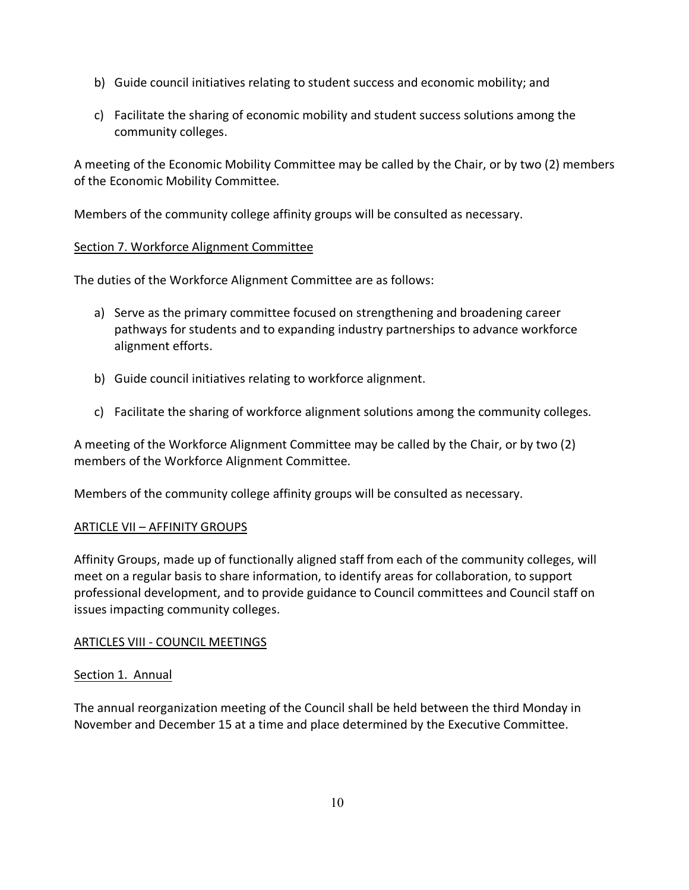- b) Guide council initiatives relating to student success and economic mobility; and
- c) Facilitate the sharing of economic mobility and student success solutions among the community colleges.

A meeting of the Economic Mobility Committee may be called by the Chair, or by two (2) members of the Economic Mobility Committee.

Members of the community college affinity groups will be consulted as necessary.

## Section 7. Workforce Alignment Committee

The duties of the Workforce Alignment Committee are as follows:

- a) Serve as the primary committee focused on strengthening and broadening career pathways for students and to expanding industry partnerships to advance workforce alignment efforts.
- b) Guide council initiatives relating to workforce alignment.
- c) Facilitate the sharing of workforce alignment solutions among the community colleges.

A meeting of the Workforce Alignment Committee may be called by the Chair, or by two (2) members of the Workforce Alignment Committee.

Members of the community college affinity groups will be consulted as necessary.

## ARTICLE VII – AFFINITY GROUPS

Affinity Groups, made up of functionally aligned staff from each of the community colleges, will meet on a regular basis to share information, to identify areas for collaboration, to support professional development, and to provide guidance to Council committees and Council staff on issues impacting community colleges.

## ARTICLES VIII - COUNCIL MEETINGS

## Section 1. Annual

The annual reorganization meeting of the Council shall be held between the third Monday in November and December 15 at a time and place determined by the Executive Committee.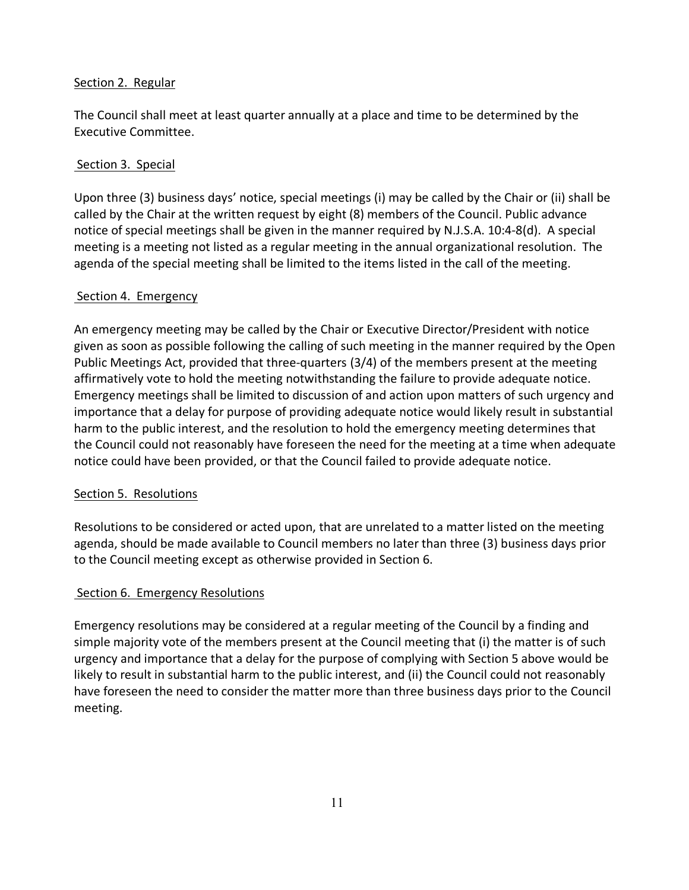# Section 2. Regular

The Council shall meet at least quarter annually at a place and time to be determined by the Executive Committee.

# Section 3. Special

Upon three (3) business days' notice, special meetings (i) may be called by the Chair or (ii) shall be called by the Chair at the written request by eight (8) members of the Council. Public advance notice of special meetings shall be given in the manner required by N.J.S.A. 10:4-8(d). A special meeting is a meeting not listed as a regular meeting in the annual organizational resolution. The agenda of the special meeting shall be limited to the items listed in the call of the meeting.

## Section 4. Emergency

An emergency meeting may be called by the Chair or Executive Director/President with notice given as soon as possible following the calling of such meeting in the manner required by the Open Public Meetings Act, provided that three-quarters (3/4) of the members present at the meeting affirmatively vote to hold the meeting notwithstanding the failure to provide adequate notice. Emergency meetings shall be limited to discussion of and action upon matters of such urgency and importance that a delay for purpose of providing adequate notice would likely result in substantial harm to the public interest, and the resolution to hold the emergency meeting determines that the Council could not reasonably have foreseen the need for the meeting at a time when adequate notice could have been provided, or that the Council failed to provide adequate notice.

## Section 5. Resolutions

Resolutions to be considered or acted upon, that are unrelated to a matter listed on the meeting agenda, should be made available to Council members no later than three (3) business days prior to the Council meeting except as otherwise provided in Section 6.

# Section 6. Emergency Resolutions

Emergency resolutions may be considered at a regular meeting of the Council by a finding and simple majority vote of the members present at the Council meeting that (i) the matter is of such urgency and importance that a delay for the purpose of complying with Section 5 above would be likely to result in substantial harm to the public interest, and (ii) the Council could not reasonably have foreseen the need to consider the matter more than three business days prior to the Council meeting.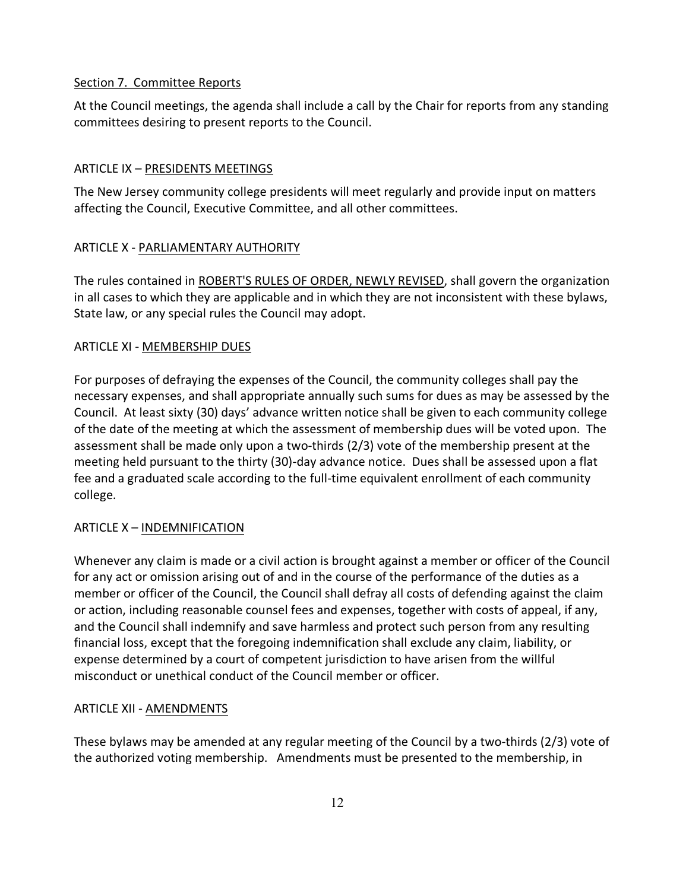## Section 7. Committee Reports

At the Council meetings, the agenda shall include a call by the Chair for reports from any standing committees desiring to present reports to the Council.

## ARTICLE IX – PRESIDENTS MEETINGS

The New Jersey community college presidents will meet regularly and provide input on matters affecting the Council, Executive Committee, and all other committees.

# ARTICLE X - PARLIAMENTARY AUTHORITY

The rules contained in ROBERT'S RULES OF ORDER, NEWLY REVISED, shall govern the organization in all cases to which they are applicable and in which they are not inconsistent with these bylaws, State law, or any special rules the Council may adopt.

# ARTICLE XI - MEMBERSHIP DUES

For purposes of defraying the expenses of the Council, the community colleges shall pay the necessary expenses, and shall appropriate annually such sums for dues as may be assessed by the Council. At least sixty (30) days' advance written notice shall be given to each community college of the date of the meeting at which the assessment of membership dues will be voted upon. The assessment shall be made only upon a two-thirds (2/3) vote of the membership present at the meeting held pursuant to the thirty (30)-day advance notice. Dues shall be assessed upon a flat fee and a graduated scale according to the full-time equivalent enrollment of each community college.

## ARTICLE X – INDEMNIFICATION

Whenever any claim is made or a civil action is brought against a member or officer of the Council for any act or omission arising out of and in the course of the performance of the duties as a member or officer of the Council, the Council shall defray all costs of defending against the claim or action, including reasonable counsel fees and expenses, together with costs of appeal, if any, and the Council shall indemnify and save harmless and protect such person from any resulting financial loss, except that the foregoing indemnification shall exclude any claim, liability, or expense determined by a court of competent jurisdiction to have arisen from the willful misconduct or unethical conduct of the Council member or officer.

## ARTICLE XII - AMENDMENTS

These bylaws may be amended at any regular meeting of the Council by a two-thirds (2/3) vote of the authorized voting membership. Amendments must be presented to the membership, in